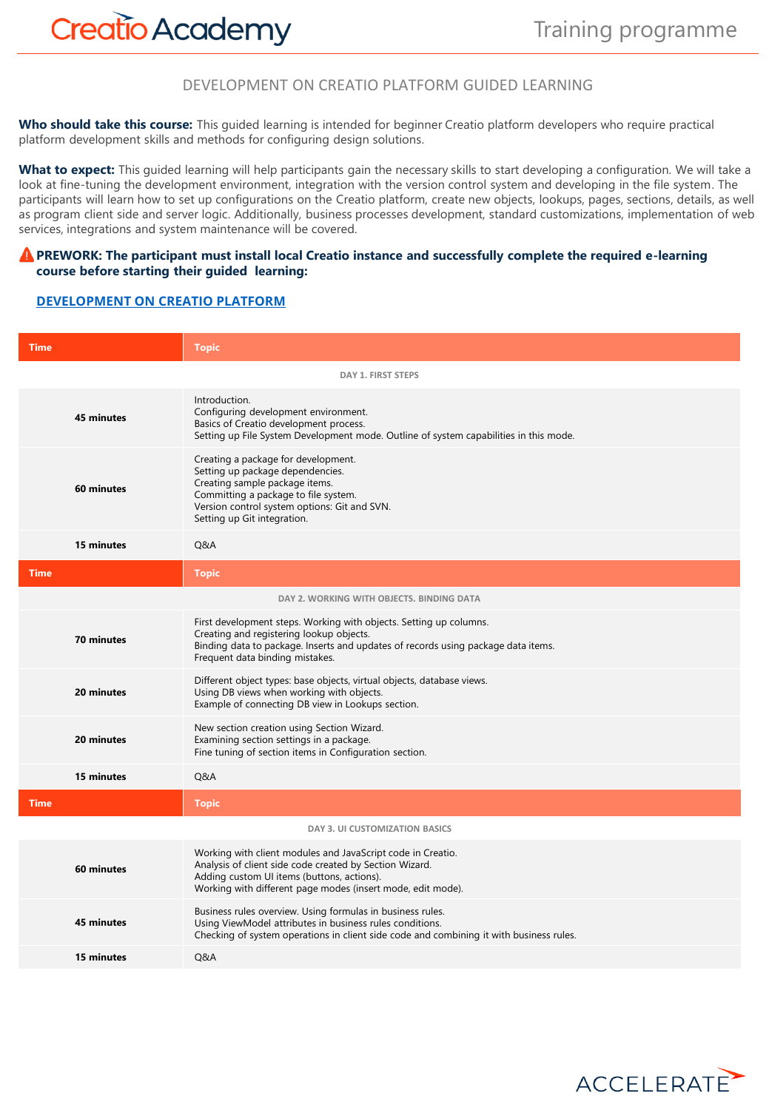# **Creatio Academy**

### DEVELOPMENT ON CREATIO PLATFORM GUIDED LEARNING

**Who should take this course:** This guided learning is intended for beginner Creatio platform developers who require practical platform development skills and methods for configuring design solutions.

**What to expect:** This guided learning will help participants gain the necessary skills to start developing a configuration. We will take a look at fine-tuning the development environment, integration with the version control system and developing in the file system. The participants will learn how to set up configurations on the Creatio platform, create new objects, lookups, pages, sections, details, as well as program client side and server logic. Additionally, business processes development, standard customizations, implementation of web services, integrations and system maintenance will be covered.

#### **A** PREWORK: The participant must install local Creatio instance and successfully complete the required e-learning **course before starting their guided learning:**

#### **[DEVELOPMENT ON CREATIO PLATFORM](https://academy.creatio.com/online-courses/development-creatio-platform-0)**

| <b>Time</b>               | <b>Topic</b>                                                                                                                                                                                                                           |  |
|---------------------------|----------------------------------------------------------------------------------------------------------------------------------------------------------------------------------------------------------------------------------------|--|
| <b>DAY 1. FIRST STEPS</b> |                                                                                                                                                                                                                                        |  |
| 45 minutes                | Introduction.<br>Configuring development environment.<br>Basics of Creatio development process.<br>Setting up File System Development mode. Outline of system capabilities in this mode.                                               |  |
| 60 minutes                | Creating a package for development.<br>Setting up package dependencies.<br>Creating sample package items.<br>Committing a package to file system.<br>Version control system options: Git and SVN.<br>Setting up Git integration.       |  |
| 15 minutes                | Q&A                                                                                                                                                                                                                                    |  |
| <b>Time</b>               | <b>Topic</b>                                                                                                                                                                                                                           |  |
|                           | DAY 2. WORKING WITH OBJECTS, BINDING DATA                                                                                                                                                                                              |  |
| 70 minutes                | First development steps. Working with objects. Setting up columns.<br>Creating and registering lookup objects.<br>Binding data to package. Inserts and updates of records using package data items.<br>Frequent data binding mistakes. |  |
| 20 minutes                | Different object types: base objects, virtual objects, database views.<br>Using DB views when working with objects.<br>Example of connecting DB view in Lookups section.                                                               |  |
| 20 minutes                | New section creation using Section Wizard.<br>Examining section settings in a package.<br>Fine tuning of section items in Configuration section.                                                                                       |  |
| 15 minutes                | Q&A                                                                                                                                                                                                                                    |  |
| <b>Time</b>               | <b>Topic</b>                                                                                                                                                                                                                           |  |
|                           | DAY 3. UI CUSTOMIZATION BASICS                                                                                                                                                                                                         |  |
| 60 minutes                | Working with client modules and JavaScript code in Creatio.<br>Analysis of client side code created by Section Wizard.<br>Adding custom UI items (buttons, actions).<br>Working with different page modes (insert mode, edit mode).    |  |
| 45 minutes                | Business rules overview. Using formulas in business rules.<br>Using ViewModel attributes in business rules conditions.<br>Checking of system operations in client side code and combining it with business rules.                      |  |
| 15 minutes                | Q&A                                                                                                                                                                                                                                    |  |

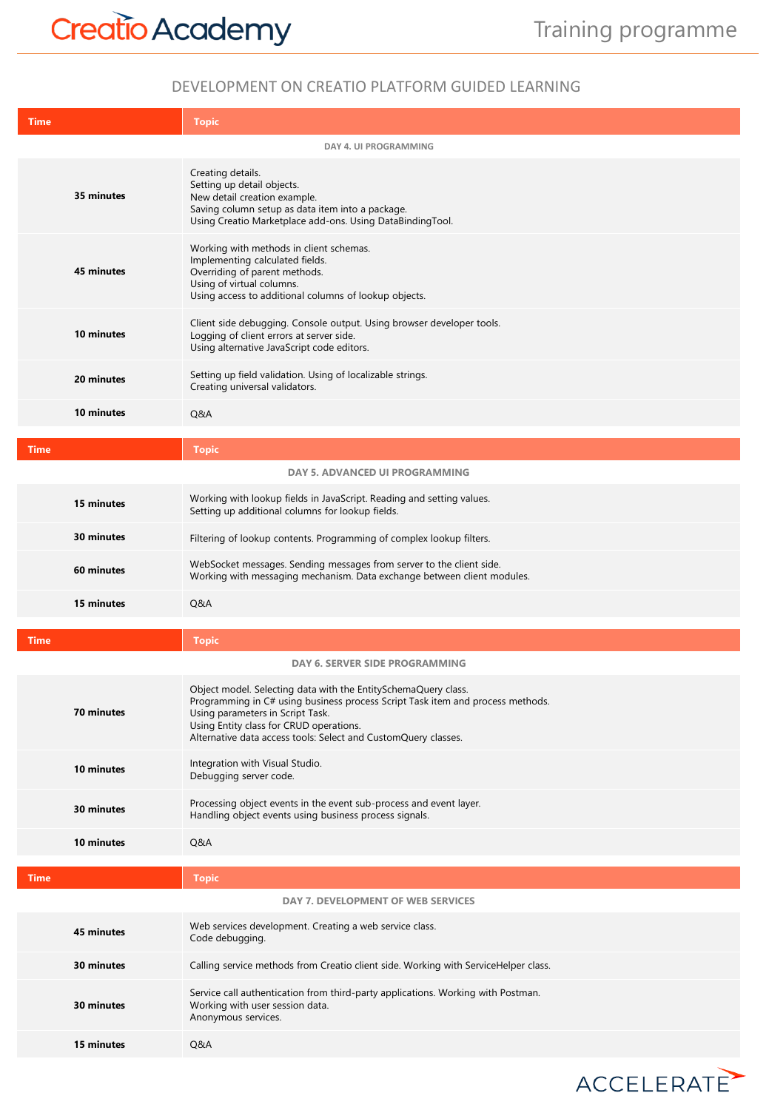ACCELERATE

## DEVELOPMENT ON CREATIO PLATFORM GUIDED LEARNING

| <b>Time</b>           | <b>Topic</b>                                                                                                                                                                                                                                                                                      |  |
|-----------------------|---------------------------------------------------------------------------------------------------------------------------------------------------------------------------------------------------------------------------------------------------------------------------------------------------|--|
| DAY 4. UI PROGRAMMING |                                                                                                                                                                                                                                                                                                   |  |
| 35 minutes            | Creating details.<br>Setting up detail objects.<br>New detail creation example.<br>Saving column setup as data item into a package.<br>Using Creatio Marketplace add-ons. Using DataBindingTool.                                                                                                  |  |
| 45 minutes            | Working with methods in client schemas.<br>Implementing calculated fields.<br>Overriding of parent methods.<br>Using of virtual columns.<br>Using access to additional columns of lookup objects.                                                                                                 |  |
| 10 minutes            | Client side debugging. Console output. Using browser developer tools.<br>Logging of client errors at server side.<br>Using alternative JavaScript code editors.                                                                                                                                   |  |
| 20 minutes            | Setting up field validation. Using of localizable strings.<br>Creating universal validators.                                                                                                                                                                                                      |  |
| 10 minutes            | Q&A                                                                                                                                                                                                                                                                                               |  |
| <b>Time</b>           | <b>Topic</b>                                                                                                                                                                                                                                                                                      |  |
|                       | <b>DAY 5. ADVANCED UI PROGRAMMING</b>                                                                                                                                                                                                                                                             |  |
| 15 minutes            | Working with lookup fields in JavaScript. Reading and setting values.<br>Setting up additional columns for lookup fields.                                                                                                                                                                         |  |
| 30 minutes            | Filtering of lookup contents. Programming of complex lookup filters.                                                                                                                                                                                                                              |  |
| 60 minutes            | WebSocket messages. Sending messages from server to the client side.<br>Working with messaging mechanism. Data exchange between client modules.                                                                                                                                                   |  |
| 15 minutes            | Q&A                                                                                                                                                                                                                                                                                               |  |
| <b>Time</b>           | <b>Topic</b>                                                                                                                                                                                                                                                                                      |  |
|                       | DAY 6. SERVER SIDE PROGRAMMING                                                                                                                                                                                                                                                                    |  |
| 70 minutes            | Object model. Selecting data with the EntitySchemaQuery class.<br>Programming in C# using business process Script Task item and process methods.<br>Using parameters in Script Task.<br>Using Entity class for CRUD operations.<br>Alternative data access tools: Select and CustomQuery classes. |  |
| 10 minutes            | Integration with Visual Studio.<br>Debugging server code.                                                                                                                                                                                                                                         |  |
| 30 minutes            | Processing object events in the event sub-process and event layer.<br>Handling object events using business process signals.                                                                                                                                                                      |  |
| 10 minutes            | Q&A                                                                                                                                                                                                                                                                                               |  |
| <b>Time</b>           | <b>Topic</b>                                                                                                                                                                                                                                                                                      |  |
|                       | DAY 7. DEVELOPMENT OF WEB SERVICES                                                                                                                                                                                                                                                                |  |
| 45 minutes            | Web services development. Creating a web service class.<br>Code debugging.                                                                                                                                                                                                                        |  |
| 30 minutes            | Calling service methods from Creatio client side. Working with ServiceHelper class.                                                                                                                                                                                                               |  |
| 30 minutes            | Service call authentication from third-party applications. Working with Postman.<br>Working with user session data.<br>Anonymous services.                                                                                                                                                        |  |
| 15 minutes            | Q&A                                                                                                                                                                                                                                                                                               |  |